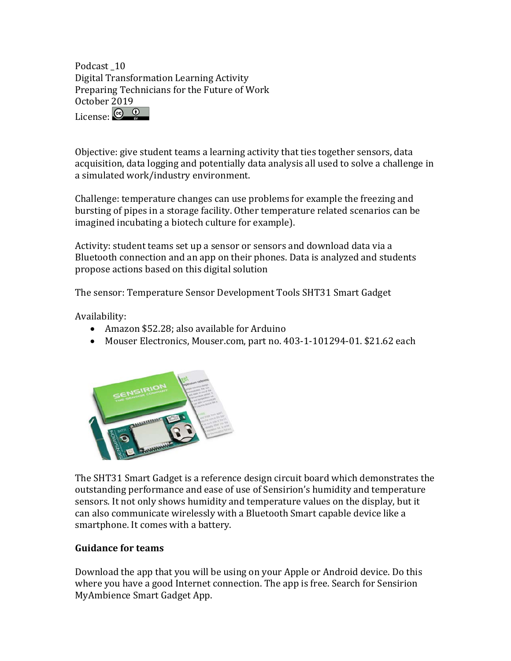Podcast 10 Digital Transformation Learning Activity Preparing Technicians for the Future of Work October 2019 License: C 0

Objective: give student teams a learning activity that ties together sensors, data acquisition, data logging and potentially data analysis all used to solve a challenge in a simulated work/industry environment.

Challenge: temperature changes can use problems for example the freezing and bursting of pipes in a storage facility. Other temperature related scenarios can be imagined incubating a biotech culture for example).

Activity: student teams set up a sensor or sensors and download data via a Bluetooth connection and an app on their phones. Data is analyzed and students propose actions based on this digital solution

The sensor: Temperature Sensor Development Tools SHT31 Smart Gadget

Availability:

- Amazon \$52.28; also available for Arduino
- Mouser Electronics, Mouser.com, part no. 403-1-101294-01. \$21.62 each



The SHT31 Smart Gadget is a reference design circuit board which demonstrates the outstanding performance and ease of use of Sensirion's humidity and temperature sensors. It not only shows humidity and temperature values on the display, but it can also communicate wirelessly with a Bluetooth Smart capable device like a smartphone. It comes with a battery.

## **Guidance for teams**

Download the app that you will be using on your Apple or Android device. Do this where you have a good Internet connection. The app is free. Search for Sensirion MyAmbience Smart Gadget App.